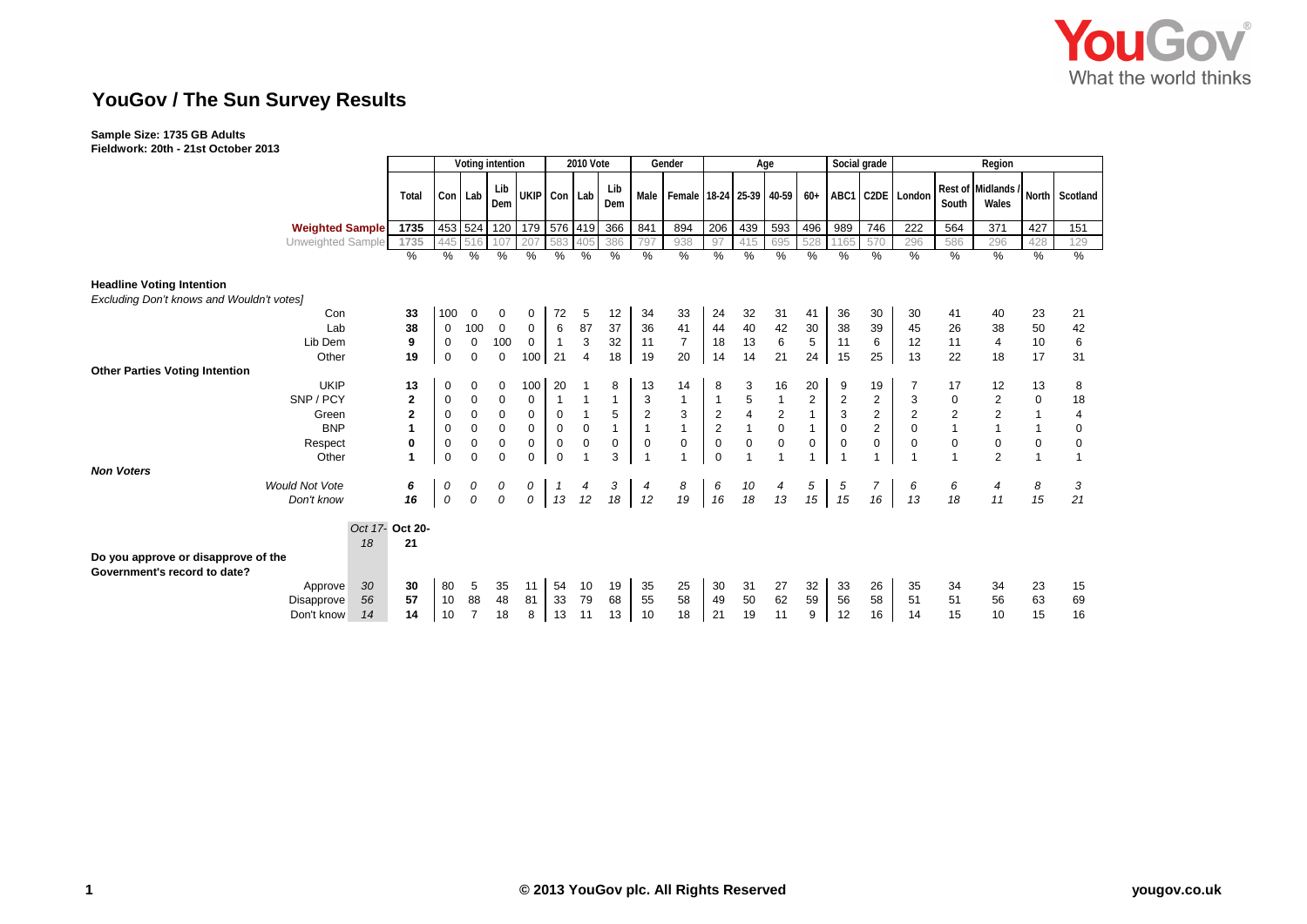

## **YouGov / The Sun Survey Results**

## **Sample Size: 1735 GB Adults**

**Fieldwork: 20th - 21st October 2013**

| וטעטעט זט                                                           |                         |             |                  |                  |                     |               |                         |              |              |                               |                |                |              |                |                |                |                      |              |                             |                |                |
|---------------------------------------------------------------------|-------------------------|-------------|------------------|------------------|---------------------|---------------|-------------------------|--------------|--------------|-------------------------------|----------------|----------------|--------------|----------------|----------------|----------------|----------------------|--------------|-----------------------------|----------------|----------------|
|                                                                     |                         |             |                  | Voting intention |                     |               | <b>2010 Vote</b>        |              |              | Gender                        |                |                | Age          |                |                | Social grade   | Region               |              |                             |                |                |
|                                                                     | Total                   |             | Con Lab          | Lib<br>Dem       | UKIP Con Lab        |               |                         | Lib<br>Dem   |              | Male Female 18-24 25-39 40-59 |                |                |              |                |                |                | 60+ ABC1 C2DE London | South        | Rest of Midlands /<br>Wales |                | North Scotland |
| <b>Weighted Sample</b>                                              | 1735                    |             | 453 524          |                  | 120 179 576 419 366 |               |                         |              | 841          | 894                           | 206            | 439            | 593          | 496            | 989            | 746            | 222                  | 564          | 371                         | 427            | 151            |
| Unweighted Sample                                                   | 1735                    | 445         | 516              | 107              | 207                 | 583           | 405                     | 386          | 797          | 938                           | 97             | 415            | 695          | 528            | 1165           | 570            | 296                  | 586          | 296                         | 428            | 129            |
|                                                                     | $\frac{0}{0}$           | $\%$        | %                | %                | $\%$                | $\frac{0}{0}$ | $\%$                    | %            | $\%$         | %                             | %              | %              | %            | %              | %              | $\%$           | %                    | %            | %                           | %              | $\%$           |
| <b>Headline Voting Intention</b>                                    |                         |             |                  |                  |                     |               |                         |              |              |                               |                |                |              |                |                |                |                      |              |                             |                |                |
| Excluding Don't knows and Wouldn't votes]                           |                         |             |                  |                  |                     |               |                         |              |              |                               |                |                |              |                |                |                |                      |              |                             |                |                |
| Con                                                                 | 33                      | 100         | $\mathbf 0$      | 0                | 0                   | 72            | 5                       | 12           | 34           | 33                            | 24             | 32             | 31           | 41             | 36             | 30             | 30                   | 41           | 40                          | 23             | 21             |
| Lab                                                                 | 38                      | $\mathbf 0$ | 100              | $\mathbf 0$      | $\mathbf 0$         | 6             | 87                      | 37           | 36           | 41                            | 44             | 40             | 42           | 30             | 38             | 39             | 45                   | 26           | 38                          | 50             | 42             |
| Lib Dem                                                             | 9                       | $\mathbf 0$ | $\mathbf 0$      | 100              | $\mathbf 0$         | $\mathbf{1}$  | $\mathbf{3}$            | 32           | 11           | $\overline{7}$                | 18             | 13             | $\,6\,$      | $\overline{5}$ | 11             | 6              | 12                   | 11           | $\overline{4}$              | 10             | 6              |
| Other                                                               | 19                      | $\mathbf 0$ | $\mathbf 0$      | $\mathbf 0$      | 100                 | 21            | $\overline{4}$          | 18           | 19           | 20                            | 14             | 14             | 21           | 24             | 15             | 25             | 13                   | 22           | 18                          | 17             | 31             |
| <b>Other Parties Voting Intention</b>                               |                         |             |                  |                  |                     |               |                         |              |              |                               |                |                |              |                |                |                |                      |              |                             |                |                |
| <b>UKIP</b>                                                         | 13                      | 0           | 0                | 0                | 100                 | 20            |                         | 8            | 13           | 14                            | 8              | 3              | 16           | 20             | 9              | 19             | 7                    | 17           | 12                          | 13             | 8              |
| SNP / PCY                                                           | $\overline{\mathbf{c}}$ | 0           | $\pmb{0}$        | 0                | 0                   |               |                         | 1            | 3            | 1                             | $\overline{1}$ | 5              | $\mathbf{1}$ | $\overline{c}$ | $\overline{c}$ | $\overline{2}$ | 3                    | $\pmb{0}$    | 2                           | $\mathbf 0$    | 18             |
| Green                                                               | $\overline{2}$          | $\mathbf 0$ | $\pmb{0}$        | $\mathbf 0$      | $\pmb{0}$           | $\mathbf 0$   | $\mathbf{1}$            | 5            | $\mathbf 2$  | $\mathbf{3}$                  | $\sqrt{2}$     | $\overline{4}$ | $\mathbf 2$  | $\mathbf{1}$   | 3              | $\overline{c}$ | $\sqrt{2}$           | $\mathbf 2$  | $\overline{c}$              | $\mathbf{1}$   | 4              |
| <b>BNP</b>                                                          | $\overline{1}$          | $\mathbf 0$ | $\pmb{0}$        | $\pmb{0}$        | 0                   | $\pmb{0}$     | $\pmb{0}$               | $\mathbf{1}$ | $\mathbf{1}$ | $\mathbf{1}$                  | $\sqrt{2}$     | $\overline{1}$ | $\mathbf 0$  | $\mathbf{1}$   | $\mathbf 0$    | $\overline{2}$ | $\mathbf 0$          | $\mathbf{1}$ |                             | $\mathbf{1}$   | 0              |
| Respect                                                             | $\mathbf 0$             | $\mathbf 0$ | $\boldsymbol{0}$ | $\pmb{0}$        | $\pmb{0}$           | $\mathbf 0$   | $\mathbf 0$             | 0            | $\mathbf 0$  | $\mathbf 0$                   | $\mathbf 0$    | $\mathbf 0$    | $\mathsf 0$  | 0              | 0              | $\mathbf 0$    | 0                    | $\mathsf 0$  | $\mathbf 0$                 | $\mathbf 0$    | 0              |
| Other<br><b>Non Voters</b>                                          | $\blacktriangleleft$    | $\mathbf 0$ | $\Omega$         | $\Omega$         | $\Omega$            | $\mathbf 0$   | $\overline{\mathbf{1}}$ | 3            |              | $\overline{1}$                | $\mathbf 0$    | $\overline{ }$ |              |                |                |                |                      | 1            | $\overline{2}$              | $\overline{1}$ | 1              |
| <b>Would Not Vote</b>                                               | 6                       | 0           | 0                | 0                | 0                   |               |                         | 3            | 4            | 8                             | 6              | 10             | 4            | 5              | 5              | $\overline{7}$ | 6                    | 6            | 4                           | 8              | 3              |
| Don't know                                                          | 16                      | $\cal O$    | 0                | $\cal O$         | 0                   | 13            | 12                      | 18           | 12           | 19                            | 16             | 18             | 13           | 15             | 15             | 16             | 13                   | 18           | 11                          | 15             | 21             |
|                                                                     | Oct 17- Oct 20-         |             |                  |                  |                     |               |                         |              |              |                               |                |                |              |                |                |                |                      |              |                             |                |                |
|                                                                     | 21<br>18                |             |                  |                  |                     |               |                         |              |              |                               |                |                |              |                |                |                |                      |              |                             |                |                |
| Do you approve or disapprove of the<br>Government's record to date? |                         |             |                  |                  |                     |               |                         |              |              |                               |                |                |              |                |                |                |                      |              |                             |                |                |
| Approve                                                             | 30<br>30                | 80          | 5                | 35               | 11                  | 54            | 10                      | 19           | 35           | 25                            | 30             | 31             | 27           | 32             | 33             | 26             | 35                   | 34           | 34                          | 23             | 15             |
| Disapprove                                                          | 57<br>56                | 10          | 88               | 48               | 81                  | 33            | 79                      | 68           | 55           | 58                            | 49             | 50             | 62           | 59             | 56             | 58             | 51                   | 51           | 56                          | 63             | 69             |
| Don't know                                                          | 14<br>14                | 10          | $\overline{7}$   | 18               | 8                   | 13            | 11                      | 13           | 10           | 18                            | 21             | 19             | 11           | 9              | 12             | 16             | 14                   | 15           | 10                          | 15             | 16             |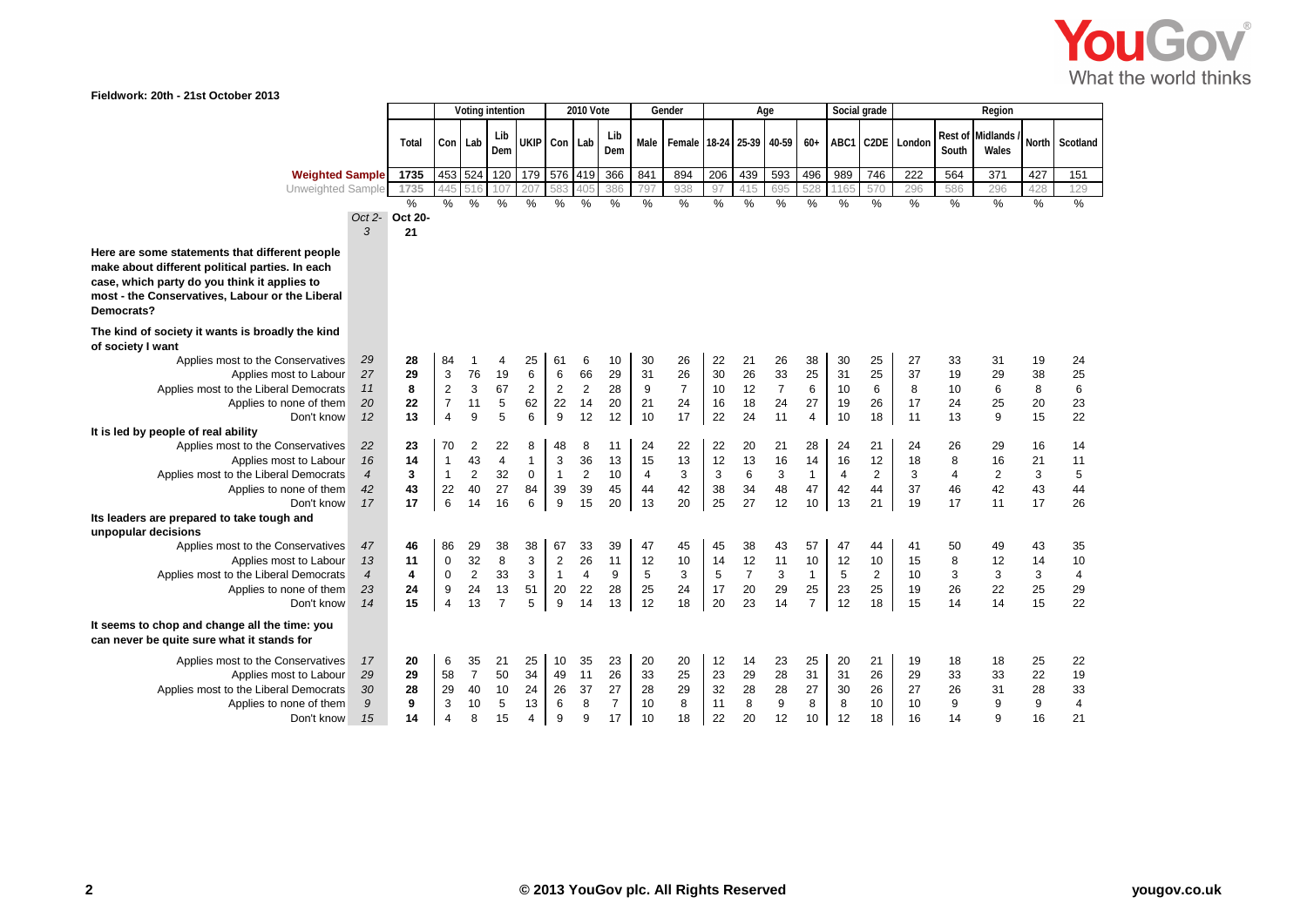

**Fieldwork: 20th - 21st October 2013**

|                                                                                                 |                          |                      | Voting intention   |                |                |                   |                | <b>2010 Vote</b> |                |          | Gender                                |            | Age            |                |                | Social grade   |                         |          |                | Region                  |          |                         |
|-------------------------------------------------------------------------------------------------|--------------------------|----------------------|--------------------|----------------|----------------|-------------------|----------------|------------------|----------------|----------|---------------------------------------|------------|----------------|----------------|----------------|----------------|-------------------------|----------|----------------|-------------------------|----------|-------------------------|
|                                                                                                 |                          | Total                | Con Lab            |                | Lib            | UKIP Con Lab      |                |                  | Lib            |          | Male   Female   18-24   25-39   40-59 |            |                |                | $60+$          |                | ABC1 C2DE               | London   | <b>Rest of</b> | Midlands                | North    | Scotland                |
|                                                                                                 |                          |                      |                    |                | Dem            |                   |                |                  | Dem            |          |                                       |            |                |                |                |                |                         |          | South          | Wales                   |          |                         |
| <b>Weighted Sample</b>                                                                          |                          | 1735                 | 453 524            |                | 120            | 179               | 576            | 419              | 366            | 841      | 894                                   | 206        | 439            | 593            | 496            | 989            | 746                     | 222      | 564            | 371                     | 427      | 151                     |
| Unweighted Sample                                                                               |                          | 1735                 | 445                | 516            | 107            | 207               |                |                  | 386            | 797      | 938                                   | 97         | 415            | 695            | 528            | 1165           | 570                     | 296      | 586            | 296                     | 428      | 129                     |
|                                                                                                 |                          | %                    | %                  | %              | $\%$           | %                 | $\%$           | %                | %              | %        | %                                     | %          | %              | %              | %              | %              | %                       | %        | %              | %                       | %        | %                       |
|                                                                                                 | 3                        | Oct 2- Oct 20-<br>21 |                    |                |                |                   |                |                  |                |          |                                       |            |                |                |                |                |                         |          |                |                         |          |                         |
| Here are some statements that different people                                                  |                          |                      |                    |                |                |                   |                |                  |                |          |                                       |            |                |                |                |                |                         |          |                |                         |          |                         |
| make about different political parties. In each                                                 |                          |                      |                    |                |                |                   |                |                  |                |          |                                       |            |                |                |                |                |                         |          |                |                         |          |                         |
| case, which party do you think it applies to<br>most - the Conservatives, Labour or the Liberal |                          |                      |                    |                |                |                   |                |                  |                |          |                                       |            |                |                |                |                |                         |          |                |                         |          |                         |
| Democrats?                                                                                      |                          |                      |                    |                |                |                   |                |                  |                |          |                                       |            |                |                |                |                |                         |          |                |                         |          |                         |
| The kind of society it wants is broadly the kind<br>of society I want                           |                          |                      |                    |                |                |                   |                |                  |                |          |                                       |            |                |                |                |                |                         |          |                |                         |          |                         |
| Applies most to the Conservatives                                                               | 29                       | 28                   | 84                 | -1             | 4              | 25                | 61             | 6                | 10             | 30       | 26                                    | 22         | 21             | 26             | 38             | 30             | 25                      | 27       | 33             | 31                      | 19       | 24                      |
| Applies most to Labour                                                                          | 27                       | 29                   | 3                  | 76             | 19             | $6\phantom{1}6$   | 6              | 66               | 29             | 31       | 26                                    | 30         | 26             | 33             | 25             | 31             | 25                      | 37       | 19             | 29                      | 38       | 25                      |
| Applies most to the Liberal Democrats                                                           | 11                       | 8                    | $\overline{2}$     | 3              | 67             | 2                 | $\overline{2}$ | 2                | 28             | 9        | $\overline{7}$                        | 10         | 12             | $\overline{7}$ | 6              | 10             | 6                       | 8        | 10             | 6                       | 8        | 6                       |
| Applies to none of them                                                                         | 20                       | 22                   | $\overline{7}$     | 11             | 5              | 62                | 22             | 14               | 20             | 21       | 24                                    | 16         | 18             | 24             | 27             | 19             | 26                      | 17       | 24             | 25                      | 20       | 23                      |
| Don't know                                                                                      | 12                       | 13                   | $\overline{4}$     | 9              | 5              | 6                 | 9              | 12               | 12             | 10       | 17                                    | 22         | 24             | 11             | $\overline{4}$ | 10             | 18                      | 11       | 13             | 9                       | 15       | 22                      |
| It is led by people of real ability                                                             |                          |                      |                    |                |                |                   |                |                  |                |          |                                       |            |                |                |                |                |                         |          |                |                         |          |                         |
| Applies most to the Conservatives<br>Applies most to Labour                                     | 22<br>16                 | 23<br>14             | 70<br>$\mathbf{1}$ | 2<br>43        | 22<br>4        | 8<br>$\mathbf{1}$ | 48<br>3        | 8<br>36          | 11<br>13       | 24<br>15 | 22<br>13                              | 22<br>12   | 20<br>13       | 21<br>16       | 28<br>14       | 24<br>16       | 21<br>12                | 24<br>18 | 26<br>8        | 29<br>16                | 16<br>21 | 14<br>11                |
| Applies most to the Liberal Democrats                                                           | $\overline{\mathcal{A}}$ | 3                    | $\mathbf{1}$       | $\overline{c}$ | 32             | $\mathbf 0$       | $\overline{1}$ | $\boldsymbol{2}$ | 10             | 4        | 3                                     | 3          | $\,6\,$        | 3              | $\mathbf{1}$   | $\overline{4}$ | $\overline{2}$          | 3        | 4              | $\overline{\mathbf{c}}$ | 3        | $\sqrt{5}$              |
| Applies to none of them                                                                         | 42                       | 43                   | 22                 | 40             | 27             | 84                | 39             | 39               | 45             | 44       | 42                                    | 38         | 34             | 48             | 47             | 42             | 44                      | 37       | 46             | 42                      | 43       | 44                      |
| Don't know                                                                                      | 17                       | 17                   | 6                  | 14             | 16             | 6                 | 9              | 15               | 20             | 13       | 20                                    | 25         | 27             | 12             | 10             | 13             | 21                      | 19       | 17             | 11                      | 17       | 26                      |
| Its leaders are prepared to take tough and<br>unpopular decisions                               |                          |                      |                    |                |                |                   |                |                  |                |          |                                       |            |                |                |                |                |                         |          |                |                         |          |                         |
| Applies most to the Conservatives                                                               | 47                       | 46                   | 86                 | 29             | 38             | 38                | 67             | 33               | 39             | 47       | 45                                    | 45         | 38             | 43             | 57             | 47             | 44                      | 41       | 50             | 49                      | 43       | 35                      |
| Applies most to Labour                                                                          | 13                       | 11                   | $\mathbf 0$        | 32             | 8              | 3                 | $\overline{2}$ | 26               | 11             | 12       | 10                                    | 14         | 12             | 11             | 10             | 12             | 10                      | 15       | 8              | 12                      | 14       | 10                      |
| Applies most to the Liberal Democrats                                                           | $\overline{\mathcal{A}}$ | 4                    | $\pmb{0}$          | $\sqrt{2}$     | 33             | 3                 | $\overline{1}$ | $\overline{4}$   | 9              | 5        | 3                                     | $\sqrt{5}$ | $\overline{7}$ | 3              | $\mathbf{1}$   | $\sqrt{5}$     | $\overline{\mathbf{c}}$ | 10       | 3              | 3                       | 3        | $\overline{\mathbf{4}}$ |
| Applies to none of them                                                                         | 23                       | 24                   | 9                  | 24             | 13             | 51                | 20             | 22               | 28             | 25       | 24                                    | 17         | 20             | 29             | 25             | 23             | 25                      | 19       | 26             | 22                      | 25       | 29                      |
| Don't know                                                                                      | 14                       | 15                   | $\overline{4}$     | 13             | $\overline{7}$ | 5                 | 9              | 14               | 13             | 12       | 18                                    | 20         | 23             | 14             | $\overline{7}$ | 12             | 18                      | 15       | 14             | 14                      | 15       | 22                      |
| It seems to chop and change all the time: you<br>can never be quite sure what it stands for     |                          |                      |                    |                |                |                   |                |                  |                |          |                                       |            |                |                |                |                |                         |          |                |                         |          |                         |
| Applies most to the Conservatives                                                               | 17                       | 20                   | 6                  | 35             | 21             | 25                | 10             | 35               | 23             | 20       | 20                                    | 12         | 14             | 23             | 25             | 20             | 21                      | 19       | 18             | 18                      | 25       | 22                      |
| Applies most to Labour                                                                          | 29                       | 29                   | 58                 | $\overline{7}$ | 50             | 34                | 49             | 11               | 26             | 33       | 25                                    | 23         | 29             | 28             | 31             | 31             | 26                      | 29       | 33             | 33                      | 22       | 19                      |
| Applies most to the Liberal Democrats                                                           | 30                       | 28                   | 29                 | 40             | 10             | 24                | 26             | 37               | 27             | 28       | 29                                    | 32         | 28             | 28             | 27             | 30             | 26                      | 27       | 26             | 31                      | 28       | 33                      |
| Applies to none of them                                                                         | 9                        | 9                    | 3                  | 10             | 5              | 13                | 6              | 8                | $\overline{7}$ | 10       | 8                                     | 11         | 8              | 9              | 8              | 8              | 10                      | 10       | 9              | 9                       | 9        | $\overline{4}$          |
| Don't know                                                                                      | 15                       | 14                   | 4                  | 8              | 15             | $\overline{4}$    | 9              | 9                | 17             | 10       | 18                                    | 22         | 20             | 12             | 10             | 12             | 18                      | 16       | 14             | 9                       | 16       | 21                      |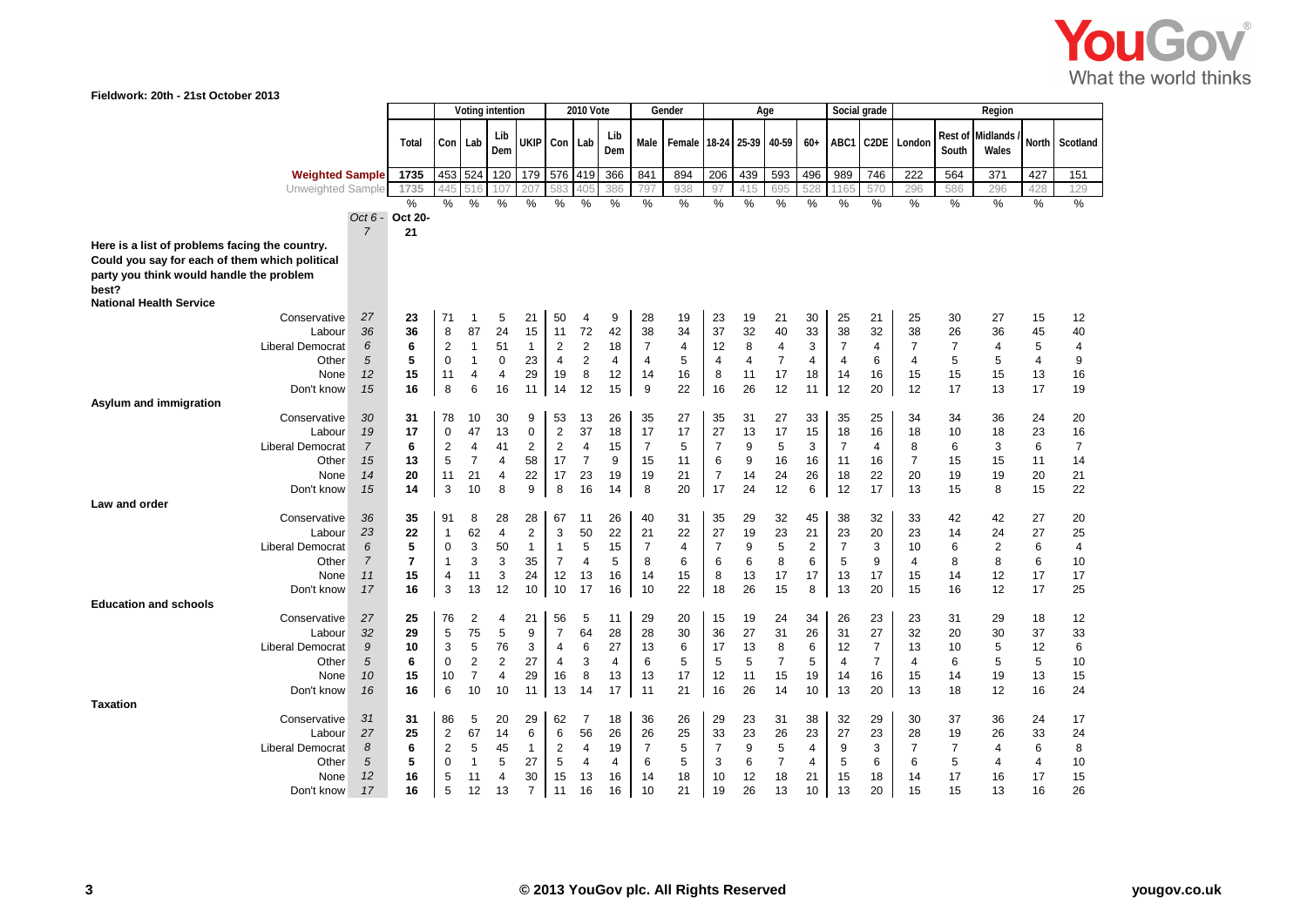

| Fieldwork: 20th - 21st October 2013                                                              |                     |                     |                               |                |                  |                   |                                |                      |            |                      |                          |                      |                |                |                      |                |                |                      |                         |                   |                 |                |  |  |
|--------------------------------------------------------------------------------------------------|---------------------|---------------------|-------------------------------|----------------|------------------|-------------------|--------------------------------|----------------------|------------|----------------------|--------------------------|----------------------|----------------|----------------|----------------------|----------------|----------------|----------------------|-------------------------|-------------------|-----------------|----------------|--|--|
|                                                                                                  |                     |                     |                               |                | Voting intention |                   |                                | <b>2010 Vote</b>     |            | Gender               |                          |                      |                | Age            |                      |                | Social grade   |                      | Region                  |                   |                 |                |  |  |
|                                                                                                  |                     | Total               |                               | Con Lab        | Lib<br>Dem       |                   | UKIP Con Lab                   |                      | Lib<br>Dem | Male                 | Female 18-24 25-39 40-59 |                      |                |                | $60+$                |                | ABC1 C2DE      | London               | <b>Rest of</b><br>South | Midlands<br>Wales | <b>North</b>    | Scotland       |  |  |
| <b>Weighted Sample</b>                                                                           |                     | 1735                |                               | 453 524        | 120              |                   |                                | 179 576 419          | 366        | 841                  | 894                      | 206                  | 439            | 593            | 496                  | 989            | 746            | 222                  | 564                     | 371               | 427             | 151            |  |  |
| Unweighted Sample                                                                                |                     | 1735                | 445                           | 516            | 107              | 207               |                                | 405                  | 386        | 797                  | 938                      | 97                   | 415            | 695            | 528                  | 1165           | 570            | 296                  | 586                     | 296               | 428             | 129            |  |  |
|                                                                                                  |                     | %                   | %                             | %              | %                | %                 | %                              | %                    | %          | %                    | %                        | %                    | %              | ℅              | %                    | %              | %              | %                    | %                       | %                 | ℅               | $\%$           |  |  |
|                                                                                                  |                     | Oct 6 - Oct 20-     |                               |                |                  |                   |                                |                      |            |                      |                          |                      |                |                |                      |                |                |                      |                         |                   |                 |                |  |  |
| Here is a list of problems facing the country.<br>Could you say for each of them which political | $\overline{7}$      | 21                  |                               |                |                  |                   |                                |                      |            |                      |                          |                      |                |                |                      |                |                |                      |                         |                   |                 |                |  |  |
| party you think would handle the problem<br>best?                                                |                     |                     |                               |                |                  |                   |                                |                      |            |                      |                          |                      |                |                |                      |                |                |                      |                         |                   |                 |                |  |  |
| <b>National Health Service</b>                                                                   |                     |                     |                               |                |                  |                   |                                |                      |            |                      |                          |                      |                |                |                      |                |                |                      |                         |                   |                 |                |  |  |
| Conservative                                                                                     | 27                  | 23                  | 71                            | -1             | 5                | 21                | 50                             | 4                    | 9          | 28                   | 19                       | 23                   | 19             | 21             | 30                   | 25             | 21             | 25                   | 30                      | 27                | 15              | 12             |  |  |
| Labour                                                                                           | 36                  | 36                  | 8                             | 87             | 24               | 15                | 11                             | 72                   | 42         | 38                   | 34                       | 37                   | 32             | 40             | 33                   | 38             | 32             | 38                   | 26                      | 36                | 45              | 40             |  |  |
| Liberal Democrat                                                                                 | 6                   | 6                   | $\overline{2}$                | 1              | 51               | $\mathbf{1}$      | $\overline{2}$                 | $\overline{c}$       | 18         | $\overline{7}$       | 4                        | 12                   | 8              | 4              | 3                    | $\overline{7}$ | 4              | 7                    | $\overline{7}$          | 4                 | 5               | 4              |  |  |
| Other                                                                                            | $\sqrt{5}$          | 5                   | $\mathbf 0$                   | $\mathbf{1}$   | $\mathbf 0$      | 23                | $\overline{4}$                 | $\overline{2}$       | 4          | $\overline{4}$       | 5                        | $\overline{4}$       | $\overline{4}$ | $\overline{7}$ | $\overline{4}$       | $\overline{4}$ | 6              | 4                    | 5                       | 5                 | 4               | 9              |  |  |
| None                                                                                             | 12                  | 15                  | 11                            | $\overline{4}$ | $\overline{4}$   | 29                | 19                             | 8                    | 12         | 14                   | 16                       | 8                    | 11             | 17             | 18                   | 14             | 16             | 15                   | 15                      | 15                | 13              | 16             |  |  |
| Don't know                                                                                       | 15                  | 16                  | 8                             | 6              | 16               | 11                | 14                             | 12                   | 15         | 9                    | 22                       | 16                   | 26             | 12             | 11                   | 12             | 20             | 12                   | 17                      | 13                | 17              | 19             |  |  |
| Asylum and immigration<br>Conservative                                                           | 30                  | 31                  | 78                            | 10             | 30               | 9                 | 53                             | 13                   | 26         | 35                   | 27                       | 35                   | 31             | 27             | 33                   | 35             | 25             | 34                   | 34                      | 36                | 24              | 20             |  |  |
| Labour                                                                                           | 19                  | 17                  | $\mathbf 0$                   | 47             | 13               | $\mathbf 0$       | 2                              | 37                   | 18         | 17                   | 17                       | 27                   | 13             | 17             | 15                   | 18             | 16             | 18                   | 10                      | 18                | 23              | 16             |  |  |
| Liberal Democrat                                                                                 | $\overline{7}$      | 6                   | $\overline{2}$                | $\overline{4}$ | 41               | 2                 | $\overline{2}$                 | $\overline{4}$       | 15         | $\overline{7}$       | 5                        | $\overline{7}$       | 9              | 5              | 3                    | $\overline{7}$ | 4              | 8                    | 6                       | 3                 | $6\phantom{1}6$ | $\overline{7}$ |  |  |
| Other                                                                                            | 15                  | 13                  | 5                             | $\overline{7}$ | $\overline{4}$   | 58                | 17                             | $\overline{7}$       | 9          | 15                   | 11                       | 6                    | 9              | 16             | 16                   | 11             | 16             | $\overline{7}$       | 15                      | 15                | 11              | 14             |  |  |
| None                                                                                             | 14                  | 20                  | 11                            | 21             | $\overline{4}$   | 22                | 17                             | 23                   | 19         | 19                   | 21                       | $\overline{7}$       | 14             | 24             | 26                   | 18             | 22             | 20                   | 19                      | 19                | 20              | 21             |  |  |
| Don't know                                                                                       | 15                  | 14                  | 3                             | 10             | 8                | 9                 | 8                              | 16                   | 14         | 8                    | 20                       | 17                   | 24             | 12             | 6                    | 12             | 17             | 13                   | 15                      | 8                 | 15              | 22             |  |  |
| Law and order                                                                                    |                     |                     |                               |                |                  |                   |                                |                      |            |                      |                          |                      |                |                |                      |                |                |                      |                         |                   |                 |                |  |  |
| Conservative                                                                                     | 36                  | 35                  | 91                            | 8              | 28               | 28                | 67                             | 11                   | 26         | 40                   | 31                       | 35                   | 29             | 32             | 45                   | 38             | 32             | 33                   | 42                      | 42                | 27              | 20             |  |  |
| Labour                                                                                           | 23                  | 22                  | $\mathbf{1}$                  | 62             | $\overline{4}$   | $\overline{2}$    | 3                              | 50                   | 22         | 21                   | 22                       | 27                   | 19             | 23             | 21                   | 23             | 20             | 23                   | 14                      | 24                | 27              | 25             |  |  |
| <b>Liberal Democrat</b>                                                                          | 6<br>$\overline{7}$ | 5<br>$\overline{7}$ | $\mathbf 0$<br>$\overline{1}$ | 3<br>3         | 50               | $\mathbf 1$       | $\mathbf{1}$<br>$\overline{7}$ | 5                    | 15<br>5    | $\overline{7}$<br>8  | 4<br>6                   | $\overline{7}$       | 9              | 5<br>8         | $\sqrt{2}$<br>6      | $\overline{7}$ | 3<br>9         | 10                   | 6                       | 2<br>8            | $6\phantom{1}6$ | $\overline{4}$ |  |  |
| Other<br>None                                                                                    | 11                  | 15                  | $\overline{4}$                | 11             | 3<br>3           | 35<br>24          | 12                             | 4<br>13              | 16         | 14                   | 15                       | 6<br>8               | 6<br>13        | 17             | 17                   | 5<br>13        | 17             | 4<br>15              | 8<br>14                 | 12                | 6<br>17         | 10<br>17       |  |  |
| Don't know                                                                                       | 17                  | 16                  | 3                             | 13             | 12               | 10                | 10                             | 17                   | 16         | 10                   | 22                       | 18                   | 26             | 15             | 8                    | 13             | 20             | 15                   | 16                      | 12                | 17              | 25             |  |  |
| <b>Education and schools</b>                                                                     |                     |                     |                               |                |                  |                   |                                |                      |            |                      |                          |                      |                |                |                      |                |                |                      |                         |                   |                 |                |  |  |
| Conservative                                                                                     | 27                  | 25                  | 76                            | $\overline{c}$ | $\overline{4}$   | 21                | 56                             | 5                    | 11         | 29                   | 20                       | 15                   | 19             | 24             | 34                   | 26             | 23             | 23                   | 31                      | 29                | 18              | 12             |  |  |
| Labour                                                                                           | 32                  | 29                  | 5                             | 75             | 5                | 9                 | $\overline{7}$                 | 64                   | 28         | 28                   | 30                       | 36                   | 27             | 31             | 26                   | 31             | 27             | 32                   | 20                      | 30                | 37              | 33             |  |  |
| <b>Liberal Democrat</b>                                                                          | 9                   | 10                  | 3                             | 5              | 76               | 3                 | $\overline{4}$                 | 6                    | 27         | 13                   | 6                        | 17                   | 13             | 8              | 6                    | 12             | $\overline{7}$ | 13                   | 10                      | 5                 | 12              | 6              |  |  |
| Other                                                                                            | 5                   | 6                   | 0                             | $\overline{2}$ | $\overline{2}$   | 27                | $\overline{4}$                 | 3                    | 4          | 6                    | 5                        | 5                    | 5              | $\overline{7}$ | 5                    | $\overline{4}$ | $\overline{7}$ | 4                    | 6                       | 5                 | 5               | 10             |  |  |
| None                                                                                             | 10                  | 15                  | 10                            | $\overline{7}$ | $\overline{4}$   | 29                | 16                             | 8                    | 13         | 13                   | 17                       | 12                   | 11             | 15             | 19                   | 14             | 16             | 15                   | 14                      | 19                | 13              | 15             |  |  |
| Don't know                                                                                       | 16                  | 16                  | 6                             | 10             | 10               | 11                | 13                             | 14                   | 17         | 11                   | 21                       | 16                   | 26             | 14             | 10                   | 13             | 20             | 13                   | 18                      | 12                | 16              | 24             |  |  |
| <b>Taxation</b>                                                                                  |                     |                     |                               |                |                  |                   |                                |                      |            |                      |                          |                      |                |                |                      |                |                |                      |                         |                   |                 |                |  |  |
| Conservative                                                                                     | 31                  | 31                  | 86                            | 5              | 20               | 29                | 62                             | $\overline{7}$       | 18         | 36                   | 26                       | 29                   | 23             | 31             | 38                   | 32             | 29             | 30                   | 37                      | 36                | 24              | 17             |  |  |
| Labour<br><b>Liberal Democrat</b>                                                                | 27<br>8             | 25<br>6             | 2<br>2                        | 67<br>5        | 14<br>45         | 6<br>$\mathbf{1}$ | 6<br>$\overline{2}$            | 56<br>$\overline{4}$ | 26<br>19   | 26<br>$\overline{7}$ | 25<br>5                  | 33<br>$\overline{7}$ | 23<br>9        | 26<br>5        | 23<br>$\overline{4}$ | 27<br>9        | 23<br>3        | 28<br>$\overline{7}$ | 19<br>$\overline{7}$    | 26<br>4           | 33<br>6         | 24<br>8        |  |  |
| Other                                                                                            | $\sqrt{5}$          | 5                   | $\mathbf 0$                   | $\mathbf{1}$   | 5                | 27                | 5                              | $\overline{4}$       | 4          | 6                    | 5                        | 3                    | 6              | $\overline{7}$ | 4                    | 5              | 6              | 6                    | 5                       | 4                 | 4               | 10             |  |  |
| None                                                                                             | 12                  | 16                  | 5                             | 11             | $\overline{4}$   | 30                | 15                             | 13                   | 16         | 14                   | 18                       | 10                   | 12             | 18             | 21                   | 15             | 18             | 14                   | 17                      | 16                | 17              | 15             |  |  |
| Don't know                                                                                       | 17                  | 16                  | 5                             | 12             | 13               | $\overline{7}$    | 11                             | 16                   | 16         | 10                   | 21                       | 19                   | 26             | 13             | 10                   | 13             | 20             | 15                   | 15                      | 13                | 16              | 26             |  |  |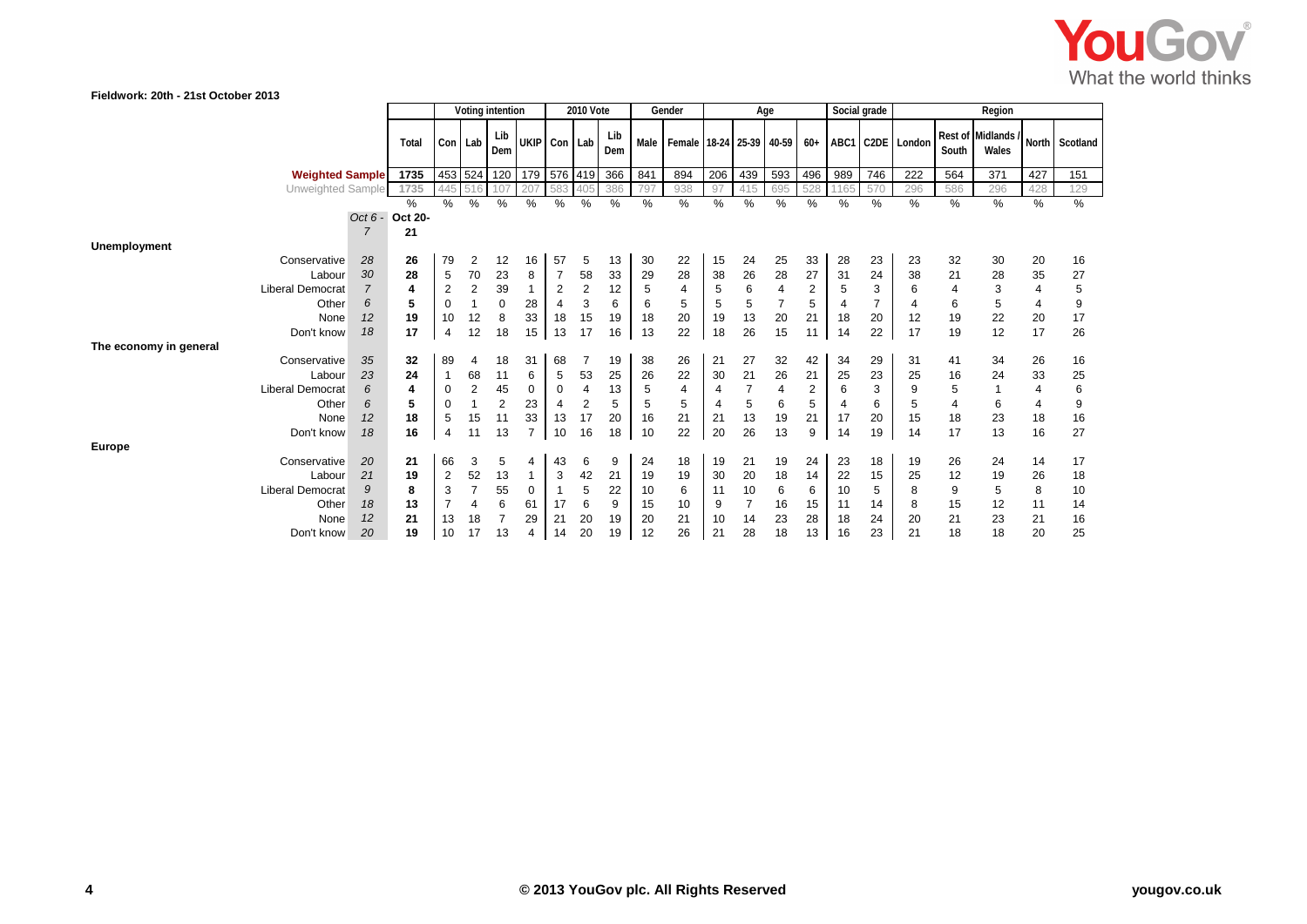

| Fieldwork: 20th - 21st October 2013 |                |                 |                |                      |                  |                     |                     |                  |             |         |                          |               |                |                |                |         |                |                  |                |                             |                |                |
|-------------------------------------|----------------|-----------------|----------------|----------------------|------------------|---------------------|---------------------|------------------|-------------|---------|--------------------------|---------------|----------------|----------------|----------------|---------|----------------|------------------|----------------|-----------------------------|----------------|----------------|
|                                     |                |                 |                |                      | Voting intention |                     |                     | <b>2010 Vote</b> |             |         | Gender                   |               |                | Age            |                |         | Social grade   |                  |                | Region                      |                |                |
|                                     |                | Total           |                | Con Lab              | Lib<br>Dem       |                     | UKIP Con Lab        |                  | Lib<br>Dem  | Male    | Female 18-24 25-39 40-59 |               |                |                | $60+$          |         |                | ABC1 C2DE London | South          | Rest of Midlands /<br>Wales |                | North Scotland |
| <b>Weighted Sample</b>              |                | 1735            |                | 453 524              | 120              | 179                 |                     |                  | 576 419 366 | 841     | 894                      | 206           | 439            | 593            | 496            | 989     | 746            | 222              | 564            | 371                         | 427            | 151            |
| Unweighted Sample                   |                | 1735            | 445            | 516                  | 107              | 207                 | 583                 | 405              | 386         | 797     | 938                      | 97            | 415            | 695            | 528            |         | 570            | 296              | 586            | 296                         | 428            | 129            |
|                                     |                | $\%$            | $\%$           | $\overline{\%}$      | $\frac{9}{6}$    | %                   | %                   | $\%$             | %           | %       | %                        | $\frac{9}{6}$ | %              | %              | $\%$           | $\%$    | %              | %                | %              | %                           | %              | %              |
|                                     |                | Oct 6 - Oct 20- |                |                      |                  |                     |                     |                  |             |         |                          |               |                |                |                |         |                |                  |                |                             |                |                |
|                                     | $\overline{7}$ | 21              |                |                      |                  |                     |                     |                  |             |         |                          |               |                |                |                |         |                |                  |                |                             |                |                |
| <b>Unemployment</b>                 |                |                 |                |                      |                  |                     |                     |                  |             |         |                          |               |                |                |                |         |                |                  |                |                             |                |                |
| Conservative                        | 28<br>30       | 26<br>28        | 79             | $\overline{c}$<br>70 | 12<br>23         | 16                  | 57                  | 5<br>58          | 13<br>33    | 30      | 22<br>28                 | 15            | 24             | 25<br>28       | 33<br>27       | 28      | 23<br>24       | 23<br>38         | 32<br>21       | 30                          | 20<br>35       | 16             |
| Labour<br><b>Liberal Democrat</b>   | $\overline{7}$ | 4               | 5<br>2         | 2                    | 39               | 8<br>$\overline{1}$ | $\overline{7}$<br>2 | $\overline{2}$   | 12          | 29<br>5 | 4                        | 38<br>5       | 26<br>6        | $\overline{4}$ | $\overline{2}$ | 31<br>5 | 3              | 6                | $\overline{4}$ | 28<br>3                     | $\overline{4}$ | 27<br>5        |
| Other                               | 6              | 5               | $\mathbf 0$    | $\mathbf{1}$         | $\mathbf 0$      | 28                  | $\overline{4}$      | 3                | 6           | 6       | 5                        |               | 5              | $\overline{7}$ | 5              | 4       | $\overline{7}$ | $\overline{4}$   | 6              | 5                           | 4              | 9              |
| None                                | 12             | 19              | 10             | 12                   | 8                | 33                  | 18                  | 15               | 19          | 18      | 20                       | 5<br>19       | 13             | 20             | 21             | 18      | 20             | 12               | 19             | 22                          | 20             | 17             |
| Don't know                          | 18             | 17              | $\overline{4}$ | 12                   | 18               | 15                  | 13                  | 17               | 16          | 13      | 22                       | 18            | 26             | 15             | 11             | 14      | 22             | 17               | 19             | 12                          | 17             | 26             |
| The economy in general              |                |                 |                |                      |                  |                     |                     |                  |             |         |                          |               |                |                |                |         |                |                  |                |                             |                |                |
| Conservative                        | 35             | 32              | 89             | 4                    | 18               | 31                  | 68                  | 7                | 19          | 38      | 26                       | 21            | 27             | 32             | 42             | 34      | 29             | 31               | 41             | 34                          | 26             | 16             |
| Labour                              | 23             | 24              |                | 68                   | 11               | 6                   | 5                   | 53               | 25          | 26      | 22                       | 30            | 21             | 26             | 21             | 25      | 23             | 25               | 16             | 24                          | 33             | 25             |
| <b>Liberal Democrat</b>             | 6              | 4               | $\mathbf 0$    | $\overline{c}$       | 45               | 0                   | 0                   | 4                | 13          | 5       | 4                        | 4             |                | $\overline{4}$ | $\overline{2}$ | 6       | 3              | 9                | 5              |                             | 4              | 6              |
| Other                               | 6              | 5               | $\mathbf 0$    | 1                    | $\overline{2}$   | 23                  | 4                   | $\overline{c}$   | 5           | 5       | 5                        | 4             | 5              | 6              | 5              |         | 6              | 5                | 4              | 6                           | 4              | 9              |
| None                                | 12             | 18              | 5              | 15                   | 11               | 33                  | 13                  | 17               | 20          | 16      | 21                       | 21            | 13             | 19             | 21             | 17      | 20             | 15               | 18             | 23                          | 18             | 16             |
| Don't know                          | 18             | 16              | $\overline{4}$ | 11                   | 13               | $\overline{7}$      | 10                  | 16               | 18          | 10      | 22                       | 20            | 26             | 13             | 9              | 14      | 19             | 14               | 17             | 13                          | 16             | 27             |
| <b>Europe</b>                       |                |                 |                |                      |                  |                     |                     |                  |             |         |                          |               |                |                |                |         |                |                  |                |                             |                |                |
| Conservative                        | 20             | 21              | 66             | 3                    | 5                | 4                   | 43                  | 6                | 9           | 24      | 18                       | 19            | 21             | 19             | 24             | 23      | 18             | 19               | 26             | 24                          | 14             | 17             |
| Labour                              | 21             | 19              | $\overline{2}$ | 52                   | 13               | $\mathbf{1}$        | 3                   | 42               | 21          | 19      | 19                       | 30            | 20             | 18             | 14             | 22      | 15             | 25               | 12             | 19                          | 26             | 18             |
| <b>Liberal Democrat</b>             | 9              | 8               | 3              | $\overline{7}$       | 55               | 0                   | -1                  | 5                | 22          | 10      | 6                        | 11            | 10             | 6              | 6              | 10      | 5              | 8                | 9              | 5                           | 8              | 10             |
| Other                               | 18             | 13              |                | 4                    | 6                | 61                  | 17                  | 6                | 9           | 15      | 10                       | 9             | $\overline{7}$ | 16             | 15             | 11      | 14             | 8                | 15             | 12                          | 11             | 14             |
| None                                | 12             | 21              | 13             | 18                   | $\overline{7}$   | 29                  | 21                  | 20               | 19          | 20      | 21                       | 10            | 14             | 23             | 28             | 18      | 24             | 20               | 21             | 23                          | 21             | 16             |
| Don't know                          | 20             | 19              | 10             | 17                   | 13               | 4                   | 14                  | 20               | 19          | 12      | 26                       | 21            | 28             | 18             | 13             | 16      | 23             | 21               | 18             | 18                          | 20             | 25             |